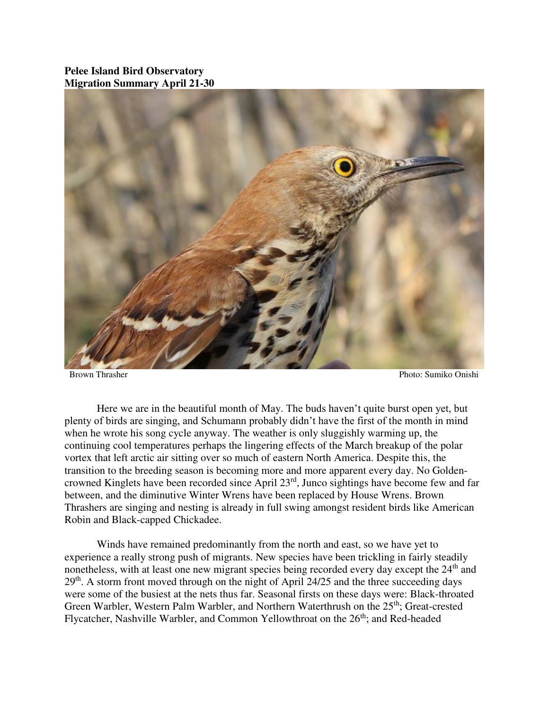## **Pelee Island Bird Observatory Migration Summary April 21-30**



Brown Thrasher Photo: Sumiko Onishi

 Here we are in the beautiful month of May. The buds haven't quite burst open yet, but plenty of birds are singing, and Schumann probably didn't have the first of the month in mind when he wrote his song cycle anyway. The weather is only sluggishly warming up, the continuing cool temperatures perhaps the lingering effects of the March breakup of the polar vortex that left arctic air sitting over so much of eastern North America. Despite this, the transition to the breeding season is becoming more and more apparent every day. No Goldencrowned Kinglets have been recorded since April 23rd, Junco sightings have become few and far between, and the diminutive Winter Wrens have been replaced by House Wrens. Brown Thrashers are singing and nesting is already in full swing amongst resident birds like American Robin and Black-capped Chickadee.

Winds have remained predominantly from the north and east, so we have yet to experience a really strong push of migrants. New species have been trickling in fairly steadily nonetheless, with at least one new migrant species being recorded every day except the 24<sup>th</sup> and 29<sup>th</sup>. A storm front moved through on the night of April 24/25 and the three succeeding days were some of the busiest at the nets thus far. Seasonal firsts on these days were: Black-throated Green Warbler, Western Palm Warbler, and Northern Waterthrush on the 25<sup>th</sup>; Great-crested Flycatcher, Nashville Warbler, and Common Yellowthroat on the 26<sup>th</sup>; and Red-headed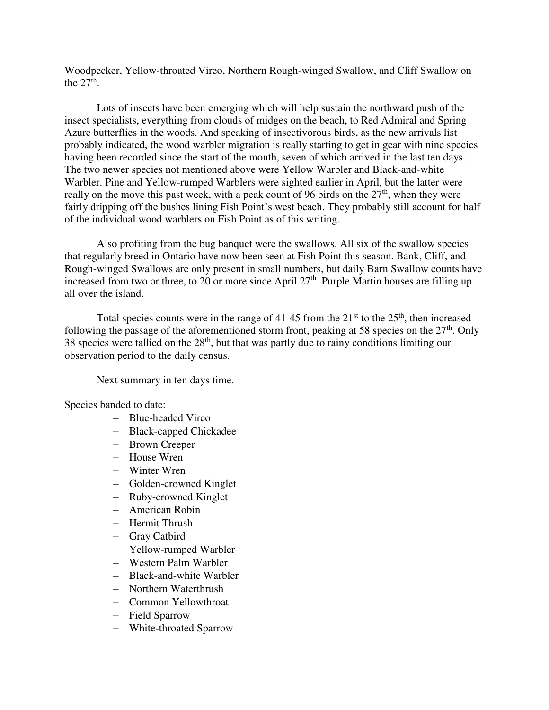Woodpecker, Yellow-throated Vireo, Northern Rough-winged Swallow, and Cliff Swallow on the  $27<sup>th</sup>$ .

Lots of insects have been emerging which will help sustain the northward push of the insect specialists, everything from clouds of midges on the beach, to Red Admiral and Spring Azure butterflies in the woods. And speaking of insectivorous birds, as the new arrivals list probably indicated, the wood warbler migration is really starting to get in gear with nine species having been recorded since the start of the month, seven of which arrived in the last ten days. The two newer species not mentioned above were Yellow Warbler and Black-and-white Warbler. Pine and Yellow-rumped Warblers were sighted earlier in April, but the latter were really on the move this past week, with a peak count of 96 birds on the  $27<sup>th</sup>$ , when they were fairly dripping off the bushes lining Fish Point's west beach. They probably still account for half of the individual wood warblers on Fish Point as of this writing.

Also profiting from the bug banquet were the swallows. All six of the swallow species that regularly breed in Ontario have now been seen at Fish Point this season. Bank, Cliff, and Rough-winged Swallows are only present in small numbers, but daily Barn Swallow counts have increased from two or three, to 20 or more since April  $27<sup>th</sup>$ . Purple Martin houses are filling up all over the island.

Total species counts were in the range of 41-45 from the  $21<sup>st</sup>$  to the  $25<sup>th</sup>$ , then increased following the passage of the aforementioned storm front, peaking at 58 species on the  $27<sup>th</sup>$ . Only 38 species were tallied on the  $28<sup>th</sup>$ , but that was partly due to rainy conditions limiting our observation period to the daily census.

Next summary in ten days time.

Species banded to date:

- Blue-headed Vireo
- Black-capped Chickadee
- Brown Creeper
- House Wren
- Winter Wren
- Golden-crowned Kinglet
- Ruby-crowned Kinglet
- American Robin
- Hermit Thrush
- Gray Catbird
- Yellow-rumped Warbler
- Western Palm Warbler
- Black-and-white Warbler
- Northern Waterthrush
- Common Yellowthroat
- Field Sparrow
- White-throated Sparrow